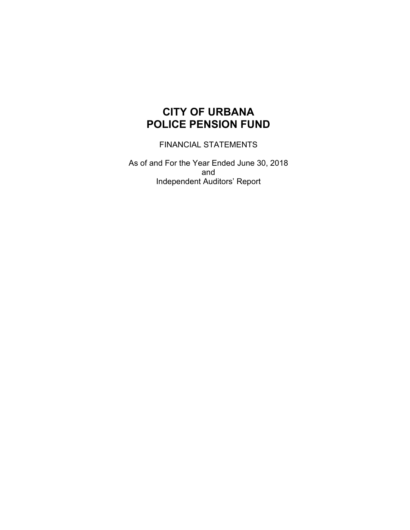FINANCIAL STATEMENTS

As of and For the Year Ended June 30, 2018 and Independent Auditors' Report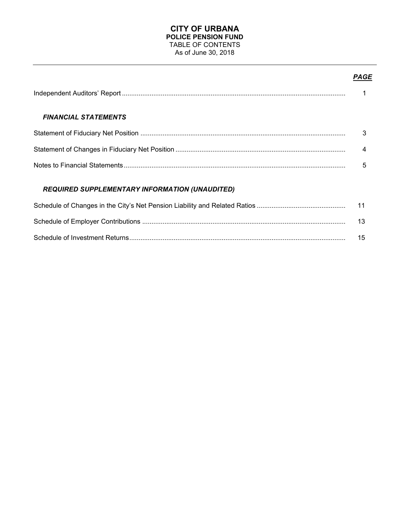### **CITY OF URBANA POLICE PENSION FUND** TABLE OF CONTENTS As of June 30, 2018

# *PAGE*

| <b>FINANCIAL STATEMENTS</b>                           |                |
|-------------------------------------------------------|----------------|
|                                                       | 3              |
|                                                       | $\overline{4}$ |
|                                                       | 5              |
| <b>REQUIRED SUPPLEMENTARY INFORMATION (UNAUDITED)</b> |                |
|                                                       | 11             |
|                                                       | 13             |

Schedule of Investment Returns..................................................................................................................... 15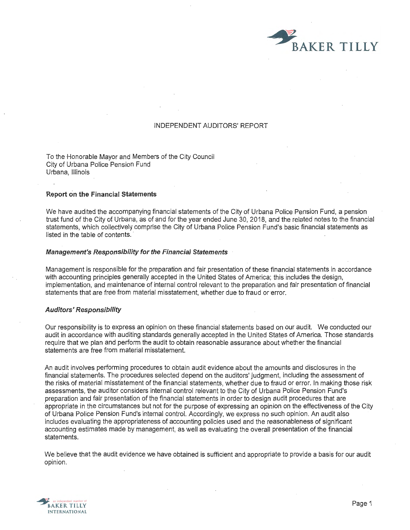

#### INDEPENDENT AUDITORS' REPORT

To the Honorable Mayor and Members of the City Council City of Urbana Police Pension Fund Urbana, Illinois

#### **Report on the Financial Statements**

We have audited the accompanying financial statements of the City of Urbana Police Pension Fund, a pension trust fund of the City of Urbana, as of and for the year ended June 30, 2018, and the related notes to the financial statements, which collectively comprise the City of Urbana Police Pension Fund's basic financial statements as listed in the table of contents.

#### **Management's Responsibility for the Financial Statements**

Management is responsible for the preparation and fair presentation of these financial statements in accordance with accounting principles generally accepted in the United States of America; this includes the design, implementation, and maintenance of internal control relevant to the preparation and fair presentation of financial statements that are free from material misstatement, whether due to fraud or error.

#### **Auditors' Responsibility**

Our responsibility is to express an opinion on these financial statements based on our audit. We conducted our audit in accordance with auditing standards generally accepted in the United States of America. Those standards require that we plan and perform the audit to obtain reasonable assurance about whether the financial statements are free from material misstatement.

An audit involves performing procedures to obtain audit evidence about the amounts and disclosures in the financial statements. The procedures selected depend on. the auditors' judgment, including the assessment of the risks of material misstatement of the financial statements, whether due to fraud or error. In making those risk assessments, the auditor considers internal control relevant to the City of Urbana Police Pension Fund's preparation and fair presentation of the financial statements in order to design audit procedures that are appropriate in the circumstances but not for the purpose of expressing an opinion on the effectiveness of the City of Urbana Police Pension Fund's internal control. Accordingly, we express no such opinion. An audit also includes evaluating the appropriateness of accounting policies used and the reasonableness of significant accounting estimates made by management, as well as evaluating the overall presentation of the financial statements.

We believe that the audit evidence we have obtained is sufficient and appropriate to provide a basis for our audit opinion.

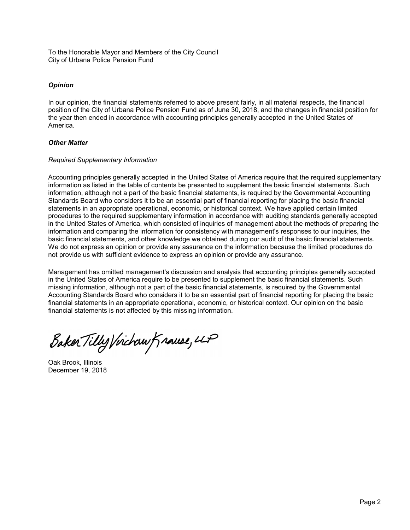To the Honorable Mayor and Members of the City Council City of Urbana Police Pension Fund

### *Opinion*

In our opinion, the financial statements referred to above present fairly, in all material respects, the financial position of the City of Urbana Police Pension Fund as of June 30, 2018, and the changes in financial position for the year then ended in accordance with accounting principles generally accepted in the United States of America.

### *Other Matter*

### *Required Supplementary Information*

Accounting principles generally accepted in the United States of America require that the required supplementary information as listed in the table of contents be presented to supplement the basic financial statements. Such information, although not a part of the basic financial statements, is required by the Governmental Accounting Standards Board who considers it to be an essential part of financial reporting for placing the basic financial statements in an appropriate operational, economic, or historical context. We have applied certain limited procedures to the required supplementary information in accordance with auditing standards generally accepted in the United States of America, which consisted of inquiries of management about the methods of preparing the information and comparing the information for consistency with management's responses to our inquiries, the basic financial statements, and other knowledge we obtained during our audit of the basic financial statements. We do not express an opinion or provide any assurance on the information because the limited procedures do not provide us with sufficient evidence to express an opinion or provide any assurance.

Management has omitted management's discussion and analysis that accounting principles generally accepted in the United States of America require to be presented to supplement the basic financial statements. Such missing information, although not a part of the basic financial statements, is required by the Governmental Accounting Standards Board who considers it to be an essential part of financial reporting for placing the basic financial statements in an appropriate operational, economic, or historical context. Our opinion on the basic financial statements is not affected by this missing information.

Baker Tilly Virchaw Krause, LLP

Oak Brook, Illinois December 19, 2018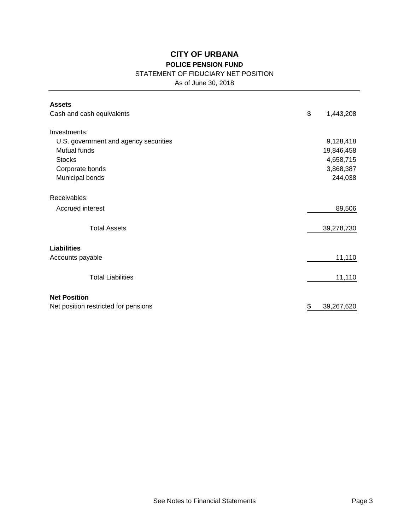# STATEMENT OF FIDUCIARY NET POSITION

As of June 30, 2018

| <b>Assets</b>                         |                  |
|---------------------------------------|------------------|
| Cash and cash equivalents             | \$<br>1,443,208  |
| Investments:                          |                  |
| U.S. government and agency securities | 9,128,418        |
| Mutual funds                          | 19,846,458       |
| <b>Stocks</b>                         | 4,658,715        |
| Corporate bonds                       | 3,868,387        |
| Municipal bonds                       | 244,038          |
| Receivables:                          |                  |
| Accrued interest                      | 89,506           |
| <b>Total Assets</b>                   | 39,278,730       |
| <b>Liabilities</b>                    |                  |
| Accounts payable                      | 11,110           |
| <b>Total Liabilities</b>              | 11,110           |
| <b>Net Position</b>                   |                  |
| Net position restricted for pensions  | \$<br>39,267,620 |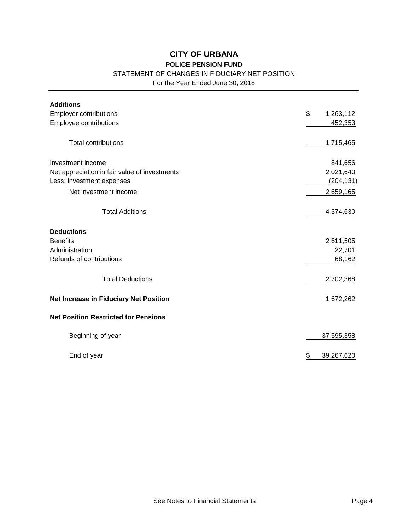## STATEMENT OF CHANGES IN FIDUCIARY NET POSITION

For the Year Ended June 30, 2018

| <b>Additions</b>                              |                  |
|-----------------------------------------------|------------------|
| Employer contributions                        | \$<br>1,263,112  |
| Employee contributions                        | 452,353          |
|                                               |                  |
| <b>Total contributions</b>                    | 1,715,465        |
| Investment income                             | 841,656          |
| Net appreciation in fair value of investments | 2,021,640        |
| Less: investment expenses                     | (204, 131)       |
| Net investment income                         | 2,659,165        |
| <b>Total Additions</b>                        | 4,374,630        |
| <b>Deductions</b>                             |                  |
| <b>Benefits</b>                               | 2,611,505        |
| Administration                                | 22,701           |
| Refunds of contributions                      | 68,162           |
| <b>Total Deductions</b>                       | 2,702,368        |
| Net Increase in Fiduciary Net Position        | 1,672,262        |
| <b>Net Position Restricted for Pensions</b>   |                  |
| Beginning of year                             | 37,595,358       |
| End of year                                   | \$<br>39,267,620 |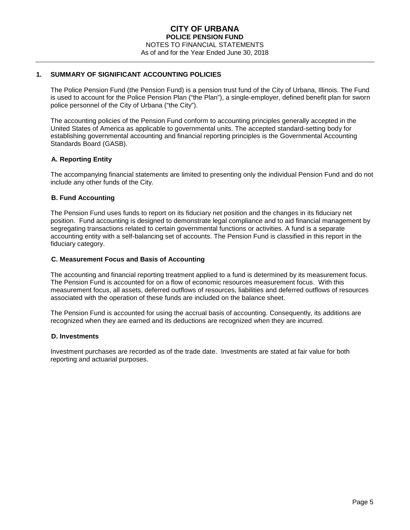#### **1. SUMMARY OF SIGNIFICANT ACCOUNTING POLICIES**

The Police Pension Fund (the Pension Fund) is a pension trust fund of the City of Urbana, Illinois. The Fund is used to account for the Police Pension Plan ("the Plan"), a single-employer, defined benefit plan for sworn police personnel of the City of Urbana ("the City").

The accounting policies of the Pension Fund conform to accounting principles generally accepted in the United States of America as applicable to governmental units. The accepted standard-setting body for establishing governmental accounting and financial reporting principles is the Governmental Accounting Standards Board (GASB).

### **A. Reporting Entity**

The accompanying financial statements are limited to presenting only the individual Pension Fund and do not include any other funds of the City.

#### **B. Fund Accounting**

The Pension Fund uses funds to report on its fiduciary net position and the changes in its fiduciary net position. Fund accounting is designed to demonstrate legal compliance and to aid financial management by segregating transactions related to certain governmental functions or activities. A fund is a separate accounting entity with a self-balancing set of accounts. The Pension Fund is classified in this report in the fiduciary category.

#### **C. Measurement Focus and Basis of Accounting**

The accounting and financial reporting treatment applied to a fund is determined by its measurement focus. The Pension Fund is accounted for on a flow of economic resources measurement focus. With this measurement focus, all assets, deferred outflows of resources, liabilities and deferred outflows of resources associated with the operation of these funds are included on the balance sheet.

The Pension Fund is accounted for using the accrual basis of accounting. Consequently, its additions are recognized when they are earned and its deductions are recognized when they are incurred.

#### **D. Investments**

Investment purchases are recorded as of the trade date. Investments are stated at fair value for both reporting and actuarial purposes.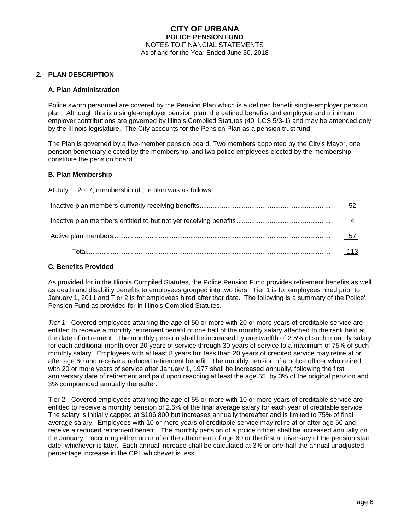#### **2. PLAN DESCRIPTION**

#### **A. Plan Administration**

Police sworn personnel are covered by the Pension Plan which is a defined benefit single-employer pension plan. Although this is a single-employer pension plan, the defined benefits and employee and minimum employer contributions are governed by Illinois Compiled Statutes (40 ILCS 5/3-1) and may be amended only by the Illinois legislature. The City accounts for the Pension Plan as a pension trust fund.

The Plan is governed by a five-member pension board. Two members appointed by the City's Mayor, one pension beneficiary elected by the membership, and two police employees elected by the membership constitute the pension board.

#### **B. Plan Membership**

At July 1, 2017, membership of the plan was as follows: Inactive plan members currently receiving benefits....................................................................... 52 Inactive plan members entitled to but not yet receiving benefits................................................... 4 Active plan members ..................................................................................................................... 57 Total.................................................................................................................................... 113

#### **C. Benefits Provided**

As provided for in the Illinois Compiled Statutes, the Police Pension Fund provides retirement benefits as well as death and disability benefits to employees grouped into two tiers. Tier 1 is for employees hired prior to January 1, 2011 and Tier 2 is for employees hired after that date. The following is a summary of the Police' Pension Fund as provided for in Illinois Compiled Statutes.

*Tier 1* - Covered employees attaining the age of 50 or more with 20 or more years of creditable service are entitled to receive a monthly retirement benefit of one half of the monthly salary attached to the rank held at the date of retirement. The monthly pension shall be increased by one twelfth of 2.5% of such monthly salary for each additional month over 20 years of service through 30 years of service to a maximum of 75% of such monthly salary. Employees with at least 8 years but less than 20 years of credited service may retire at or after age 60 and receive a reduced retirement benefit. The monthly pension of a police officer who retired with 20 or more years of service after January 1, 1977 shall be increased annually, following the first anniversary date of retirement and paid upon reaching at least the age 55, by 3% of the original pension and 3% compounded annually thereafter.

Tier 2 - Covered employees attaining the age of 55 or more with 10 or more years of creditable service are entitled to receive a monthly pension of 2.5% of the final average salary for each year of creditable service. The salary is initially capped at \$106,800 but increases annually thereafter and is limited to 75% of final average salary. Employees with 10 or more years of creditable service may retire at or after age 50 and receive a reduced retirement benefit. The monthly pension of a police officer shall be increased annually on the January 1 occurring either on or after the attainment of age 60 or the first anniversary of the pension start date, whichever is later. Each annual increase shall be calculated at 3% or one-half the annual unadjusted percentage increase in the CPI, whichever is less.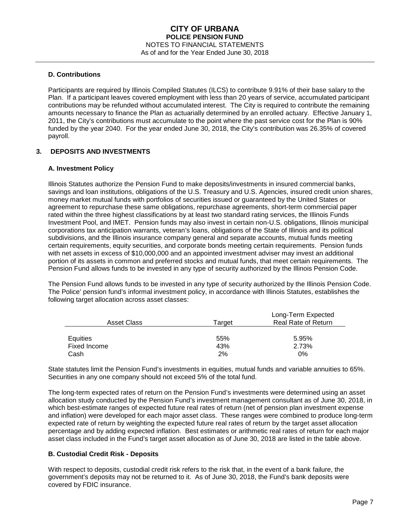#### **D. Contributions**

Participants are required by Illinois Compiled Statutes (ILCS) to contribute 9.91% of their base salary to the Plan. If a participant leaves covered employment with less than 20 years of service, accumulated participant contributions may be refunded without accumulated interest. The City is required to contribute the remaining amounts necessary to finance the Plan as actuarially determined by an enrolled actuary. Effective January 1, 2011, the City's contributions must accumulate to the point where the past service cost for the Plan is 90% funded by the year 2040. For the year ended June 30, 2018, the City's contribution was 26.35% of covered payroll.

### **3. DEPOSITS AND INVESTMENTS**

#### **A. Investment Policy**

Illinois Statutes authorize the Pension Fund to make deposits/investments in insured commercial banks, savings and loan institutions, obligations of the U.S. Treasury and U.S. Agencies, insured credit union shares, money market mutual funds with portfolios of securities issued or guaranteed by the United States or agreement to repurchase these same obligations, repurchase agreements, short-term commercial paper rated within the three highest classifications by at least two standard rating services, the Illinois Funds Investment Pool, and IMET. Pension funds may also invest in certain non-U.S. obligations, Illinois municipal corporations tax anticipation warrants, veteran's loans, obligations of the State of Illinois and its political subdivisions, and the Illinois insurance company general and separate accounts, mutual funds meeting certain requirements, equity securities, and corporate bonds meeting certain requirements. Pension funds with net assets in excess of \$10,000,000 and an appointed investment adviser may invest an additional portion of its assets in common and preferred stocks and mutual funds, that meet certain requirements. The Pension Fund allows funds to be invested in any type of security authorized by the Illinois Pension Code.

The Pension Fund allows funds to be invested in any type of security authorized by the Illinois Pension Code. The Police' pension fund's informal investment policy, in accordance with Illinois Statutes, establishes the following target allocation across asset classes:

| Asset Class  | Tarɑet | Long-Term Expected<br><b>Real Rate of Return</b> |
|--------------|--------|--------------------------------------------------|
| Equities     | 55%    | 5.95%                                            |
| Fixed Income | 43%    | 2.73%                                            |
| Cash         | 2%     | 0%                                               |

State statutes limit the Pension Fund's investments in equities, mutual funds and variable annuities to 65%. Securities in any one company should not exceed 5% of the total fund.

The long-term expected rates of return on the Pension Fund's investments were determined using an asset allocation study conducted by the Pension Fund's investment management consultant as of June 30, 2018, in which best-estimate ranges of expected future real rates of return (net of pension plan investment expense and inflation) were developed for each major asset class. These ranges were combined to produce long-term expected rate of return by weighting the expected future real rates of return by the target asset allocation percentage and by adding expected inflation. Best estimates or arithmetic real rates of return for each major asset class included in the Fund's target asset allocation as of June 30, 2018 are listed in the table above.

#### **B. Custodial Credit Risk - Deposits**

With respect to deposits, custodial credit risk refers to the risk that, in the event of a bank failure, the government's deposits may not be returned to it. As of June 30, 2018, the Fund's bank deposits were covered by FDIC insurance.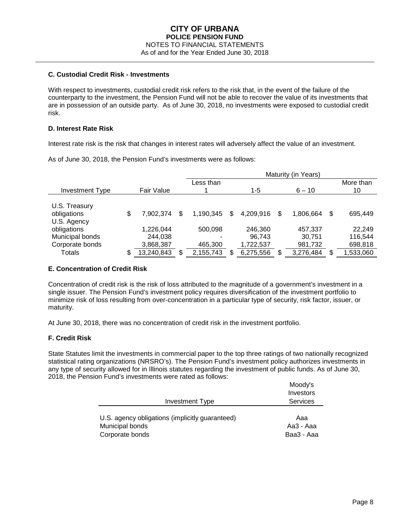#### **C. Custodial Credit Risk - Investments**

With respect to investments, custodial credit risk refers to the risk that, in the event of the failure of the counterparty to the investment, the Pension Fund will not be able to recover the value of its investments that are in possession of an outside party. As of June 30, 2018, no investments were exposed to custodial credit risk.

#### **D. Interest Rate Risk**

Interest rate risk is the risk that changes in interest rates will adversely affect the value of an investment.

As of June 30, 2018, the Pension Fund's investments were as follows:

|                 |                  | Maturity (in Years) |   |           |    |           |    |           |
|-----------------|------------------|---------------------|---|-----------|----|-----------|----|-----------|
|                 |                  | Less than           |   |           |    |           |    | More than |
| Investment Type | Fair Value       |                     |   | 1-5       |    | $6 - 10$  |    | 10        |
|                 |                  |                     |   |           |    |           |    |           |
| U.S. Treasury   |                  |                     |   |           |    |           |    |           |
| obligations     | \$<br>7,902,374  | \$<br>1.190.345     | S | 4,209,916 | \$ | 1,806,664 | \$ | 695,449   |
| U.S. Agency     |                  |                     |   |           |    |           |    |           |
| obligations     | 1,226,044        | 500,098             |   | 246,360   |    | 457.337   |    | 22.249    |
| Municipal bonds | 244,038          |                     |   | 96,743    |    | 30,751    |    | 116,544   |
| Corporate bonds | 3,868,387        | 465,300             |   | 1,722,537 |    | 981,732   |    | 698,818   |
| <b>Totals</b>   | \$<br>13,240,843 | \$<br>2,155,743     |   | 6,275,556 |    | 3,276,484 | \$ | ,533,060  |

### **E. Concentration of Credit Risk**

Concentration of credit risk is the risk of loss attributed to the magnitude of a government's investment in a single issuer. The Pension Fund's investment policy requires diversification of the investment portfolio to minimize risk of loss resulting from over-concentration in a particular type of security, risk factor, issuer, or maturity.

At June 30, 2018, there was no concentration of credit risk in the investment portfolio.

### **F. Credit Risk**

State Statutes limit the investments in commercial paper to the top three ratings of two nationally recognized statistical rating organizations (NRSRO's). The Pension Fund's investment policy authorizes investments in any type of security allowed for in Illinois statutes regarding the investment of public funds. As of June 30, 2018, the Pension Fund's investments were rated as follows:

|                                                 | Moody's         |
|-------------------------------------------------|-----------------|
|                                                 | Investors       |
| <b>Investment Type</b>                          | <b>Services</b> |
|                                                 |                 |
| U.S. agency obligations (implicitly guaranteed) | Aaa             |
| Municipal bonds                                 | Aa3 - Aaa       |
| Corporate bonds                                 | Baa3 - Aaa      |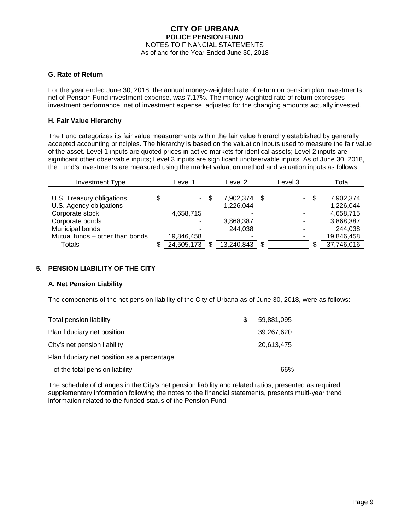#### **G. Rate of Return**

For the year ended June 30, 2018, the annual money-weighted rate of return on pension plan investments, net of Pension Fund investment expense, was 7.17%. The money-weighted rate of return expresses investment performance, net of investment expense, adjusted for the changing amounts actually invested.

#### **H. Fair Value Hierarchy**

The Fund categorizes its fair value measurements within the fair value hierarchy established by generally accepted accounting principles. The hierarchy is based on the valuation inputs used to measure the fair value of the asset. Level 1 inputs are quoted prices in active markets for identical assets; Level 2 inputs are significant other observable inputs; Level 3 inputs are significant unobservable inputs. As of June 30, 2018, the Fund's investments are measured using the market valuation method and valuation inputs as follows:

| <b>Investment Type</b>          | Level 1 |            |      |            | Level 2 |            | Level 3 |            | Total |
|---------------------------------|---------|------------|------|------------|---------|------------|---------|------------|-------|
|                                 |         |            |      |            |         |            |         |            |       |
| U.S. Treasury obligations       | \$      |            | - \$ | 7,902,374  | - \$    | $\sim$ $-$ | S       | 7,902,374  |       |
| U.S. Agency obligations         |         |            |      | 1,226,044  |         | ۰          |         | 1,226,044  |       |
| Corporate stock                 |         | 4,658,715  |      |            |         | ۰          |         | 4,658,715  |       |
| Corporate bonds                 |         |            |      | 3,868,387  |         |            |         | 3,868,387  |       |
| Municipal bonds                 |         |            |      | 244,038    |         |            |         | 244,038    |       |
| Mutual funds - other than bonds |         | 19,846,458 |      |            |         |            |         | 19,846,458 |       |
| Totals                          | \$.     | 24,505,173 |      | 13,240,843 | S       | ۰.         |         | 37,746,016 |       |

### **5. PENSION LIABILITY OF THE CITY**

### **A. Net Pension Liability**

The components of the net pension liability of the City of Urbana as of June 30, 2018, were as follows:

| Total pension liability                     | \$. | 59,881,095 |
|---------------------------------------------|-----|------------|
| Plan fiduciary net position                 |     | 39,267,620 |
| City's net pension liability                |     | 20,613,475 |
| Plan fiduciary net position as a percentage |     |            |
| of the total pension liability              |     | 66%        |

The schedule of changes in the City's net pension liability and related ratios, presented as required supplementary information following the notes to the financial statements, presents multi-year trend information related to the funded status of the Pension Fund.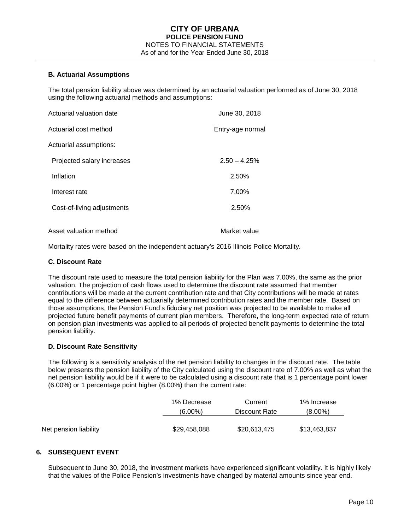#### **B. Actuarial Assumptions**

The total pension liability above was determined by an actuarial valuation performed as of June 30, 2018 using the following actuarial methods and assumptions:

| Actuarial valuation date   | June 30, 2018    |
|----------------------------|------------------|
| Actuarial cost method      | Entry-age normal |
| Actuarial assumptions:     |                  |
| Projected salary increases | $2.50 - 4.25%$   |
| Inflation                  | 2.50%            |
| Interest rate              | 7.00%            |
| Cost-of-living adjustments | 2.50%            |
| Asset valuation method     | Market value     |

Mortality rates were based on the independent actuary's 2016 Illinois Police Mortality.

#### **C. Discount Rate**

The discount rate used to measure the total pension liability for the Plan was 7.00%, the same as the prior valuation. The projection of cash flows used to determine the discount rate assumed that member contributions will be made at the current contribution rate and that City contributions will be made at rates equal to the difference between actuarially determined contribution rates and the member rate. Based on those assumptions, the Pension Fund's fiduciary net position was projected to be available to make all projected future benefit payments of current plan members. Therefore, the long-term expected rate of return on pension plan investments was applied to all periods of projected benefit payments to determine the total pension liability.

#### **D. Discount Rate Sensitivity**

The following is a sensitivity analysis of the net pension liability to changes in the discount rate. The table below presents the pension liability of the City calculated using the discount rate of 7.00% as well as what the net pension liability would be if it were to be calculated using a discount rate that is 1 percentage point lower (6.00%) or 1 percentage point higher (8.00%) than the current rate:

|                       | 1% Decrease  | Current       | 1% Increase  |
|-----------------------|--------------|---------------|--------------|
|                       | $(6.00\%)$   | Discount Rate | $(8.00\%)$   |
|                       |              |               |              |
| Net pension liability | \$29,458,088 | \$20,613,475  | \$13,463,837 |

### **6. SUBSEQUENT EVENT**

Subsequent to June 30, 2018, the investment markets have experienced significant volatility. It is highly likely that the values of the Police Pension's investments have changed by material amounts since year end.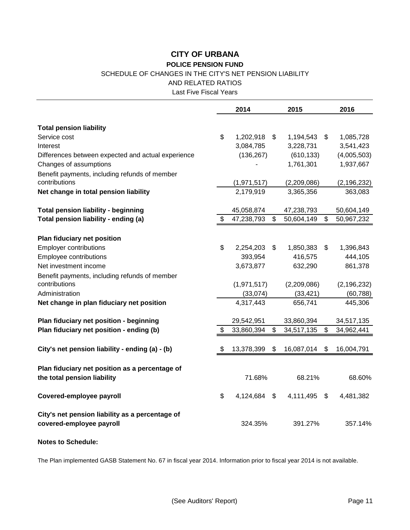### SCHEDULE OF CHANGES IN THE CITY'S NET PENSION LIABILITY

AND RELATED RATIOS

Last Five Fiscal Years

|                                                    | 2014 |             |                | 2015        |                            | 2016          |
|----------------------------------------------------|------|-------------|----------------|-------------|----------------------------|---------------|
|                                                    |      |             |                |             |                            |               |
| <b>Total pension liability</b><br>Service cost     | \$   | 1,202,918   | $\mathfrak{L}$ | 1,194,543   | \$                         | 1,085,728     |
|                                                    |      |             |                |             |                            |               |
| Interest                                           |      | 3,084,785   |                | 3,228,731   |                            | 3,541,423     |
| Differences between expected and actual experience |      | (136, 267)  |                | (610, 133)  |                            | (4,005,503)   |
| Changes of assumptions                             |      |             |                | 1,761,301   |                            | 1,937,667     |
| Benefit payments, including refunds of member      |      |             |                |             |                            |               |
| contributions                                      |      | (1,971,517) |                | (2,209,086) |                            | (2, 196, 232) |
| Net change in total pension liability              |      | 2,179,919   |                | 3,365,356   |                            | 363,083       |
| <b>Total pension liability - beginning</b>         |      | 45,058,874  |                | 47,238,793  |                            | 50,604,149    |
| Total pension liability - ending (a)               | \$   | 47,238,793  | \$             | 50,604,149  | \$                         | 50,967,232    |
|                                                    |      |             |                |             |                            |               |
| Plan fiduciary net position                        |      |             |                |             |                            |               |
| <b>Employer contributions</b>                      | \$   | 2,254,203   | \$             | 1,850,383   | $\boldsymbol{\mathsf{s}}$  | 1,396,843     |
| <b>Employee contributions</b>                      |      | 393,954     |                | 416,575     |                            | 444,105       |
| Net investment income                              |      | 3,673,877   |                | 632,290     |                            | 861,378       |
| Benefit payments, including refunds of member      |      |             |                |             |                            |               |
| contributions                                      |      | (1,971,517) |                | (2,209,086) |                            | (2, 196, 232) |
| Administration                                     |      | (33,074)    |                | (33, 421)   |                            | (60, 788)     |
| Net change in plan fiduciary net position          |      | 4,317,443   |                | 656,741     |                            | 445,306       |
| Plan fiduciary net position - beginning            |      | 29,542,951  |                | 33,860,394  |                            | 34,517,135    |
| Plan fiduciary net position - ending (b)           | \$   | 33,860,394  | \$             | 34,517,135  | \$                         | 34,962,441    |
|                                                    |      |             |                |             |                            |               |
| City's net pension liability - ending (a) - (b)    | \$   | 13,378,399  | \$             | 16,087,014  | \$                         | 16,004,791    |
|                                                    |      |             |                |             |                            |               |
| Plan fiduciary net position as a percentage of     |      |             |                |             |                            |               |
| the total pension liability                        |      | 71.68%      |                | 68.21%      |                            | 68.60%        |
| Covered-employee payroll                           | \$   | 4,124,684   | \$             | 4,111,495   | $\boldsymbol{\mathsf{\$}}$ | 4,481,382     |
| City's net pension liability as a percentage of    |      |             |                |             |                            |               |
| covered-employee payroll                           |      | 324.35%     |                | 391.27%     |                            | 357.14%       |

**Notes to Schedule:**

The Plan implemented GASB Statement No. 67 in fiscal year 2014. Information prior to fiscal year 2014 is not available.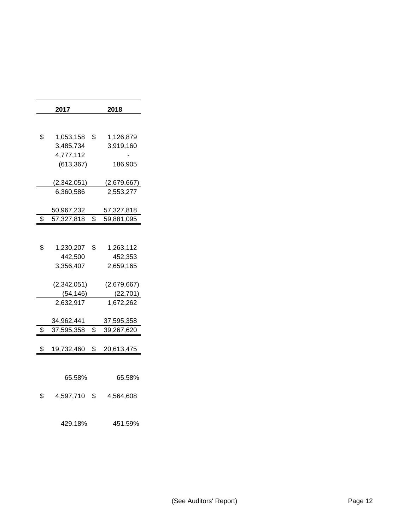| 2017                    | 2018               |
|-------------------------|--------------------|
|                         |                    |
| \$<br>1,053,158         | \$<br>1,126,879    |
| 3,485,734               | 3,919,160          |
| 4,777,112<br>(613, 367) | 186,905            |
|                         |                    |
| (2,342,051)             | <u>(2,679,667)</u> |
| 6,360,586               | 2,553,277          |
| 50,967,232              | 57,327,818         |
| \$<br>57,327,818        | \$<br>59,881,095   |
|                         |                    |
| \$<br>1,230,207         | \$<br>1,263,112    |
| 442,500                 | 452,353            |
| 3,356,407               | 2,659,165          |
| (2,342,051)             | (2,679,667)        |
| (54,146)                | (22, 701)          |
| 2,632,917               | 1,672,262          |
| 34,962,441              | 37,595,358         |
| \$<br>37,595,358        | \$<br>39,267,620   |
| \$<br>19,732,460        | \$<br>20,613,475   |
|                         |                    |
|                         |                    |
| 65.58%                  | 65.58%             |
| \$<br>4,597,710         | \$<br>4,564,608    |
|                         |                    |
| 429.18%                 | 451.59%            |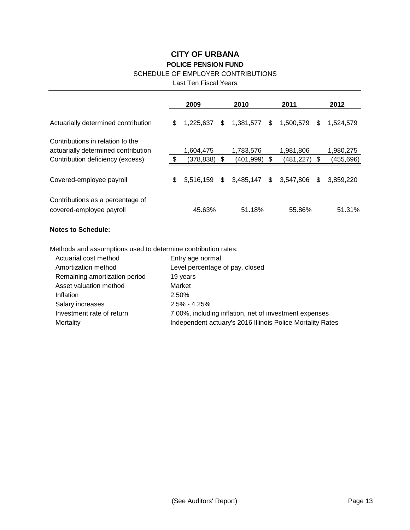### SCHEDULE OF EMPLOYER CONTRIBUTIONS

Last Ten Fiscal Years

|                                                                         | 2009 |           |     | 2010           |    | 2011      |    | 2012      |  |
|-------------------------------------------------------------------------|------|-----------|-----|----------------|----|-----------|----|-----------|--|
| Actuarially determined contribution                                     | \$   | 1.225.637 | \$  | 1,381,577      | S. | 1,500,579 | S  | 1.524.579 |  |
| Contributions in relation to the<br>actuarially determined contribution |      | 1,604,475 |     | 1,783,576      |    | 1,981,806 |    | 1,980,275 |  |
| Contribution deficiency (excess)                                        |      | (378,838) | \$. | (401,999)      |    | (481,227) | \$ | (455,696) |  |
| Covered-employee payroll                                                | \$   | 3.516.159 | \$  | $3,485,147$ \$ |    | 3.547.806 | \$ | 3.859.220 |  |
| Contributions as a percentage of<br>covered-employee payroll            |      | 45.63%    |     | 51.18%         |    | 55.86%    |    | 51.31%    |  |

# **Notes to Schedule:**

Methods and assumptions used to determine contribution rates:

| Actuarial cost method         | Entry age normal                                           |
|-------------------------------|------------------------------------------------------------|
| Amortization method           | Level percentage of pay, closed                            |
| Remaining amortization period | 19 years                                                   |
| Asset valuation method        | Market                                                     |
| Inflation                     | 2.50%                                                      |
| Salary increases              | $2.5\% - 4.25\%$                                           |
| Investment rate of return     | 7.00%, including inflation, net of investment expenses     |
| Mortality                     | Independent actuary's 2016 Illinois Police Mortality Rates |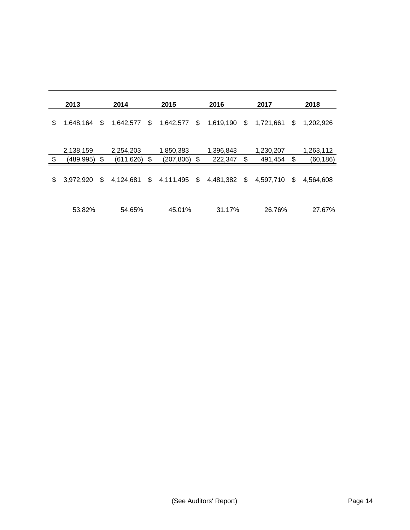| 2013            | 2014            | 2015             | 2016            | 2017            | 2018            |
|-----------------|-----------------|------------------|-----------------|-----------------|-----------------|
| \$<br>1,648,164 | \$<br>1,642,577 | \$<br>1,642,577  | \$<br>1,619,190 | \$<br>1,721,661 | \$<br>1,202,926 |
|                 |                 |                  |                 |                 |                 |
| 2,138,159       | 2,254,203       | 1,850,383        | 1,396,843       | 1,230,207       | 1,263,112       |
| \$<br>(489,995) | \$<br>(611,626) | \$<br>(207, 806) | \$<br>222,347   | \$<br>491,454   | \$<br>(60,186)  |
| \$<br>3.972.920 | \$<br>4,124,681 | \$<br>4,111,495  | \$<br>4,481,382 | \$<br>4,597,710 | \$<br>4.564.608 |
| 53.82%          | 54.65%          | 45.01%           | 31.17%          | 26.76%          | 27.67%          |